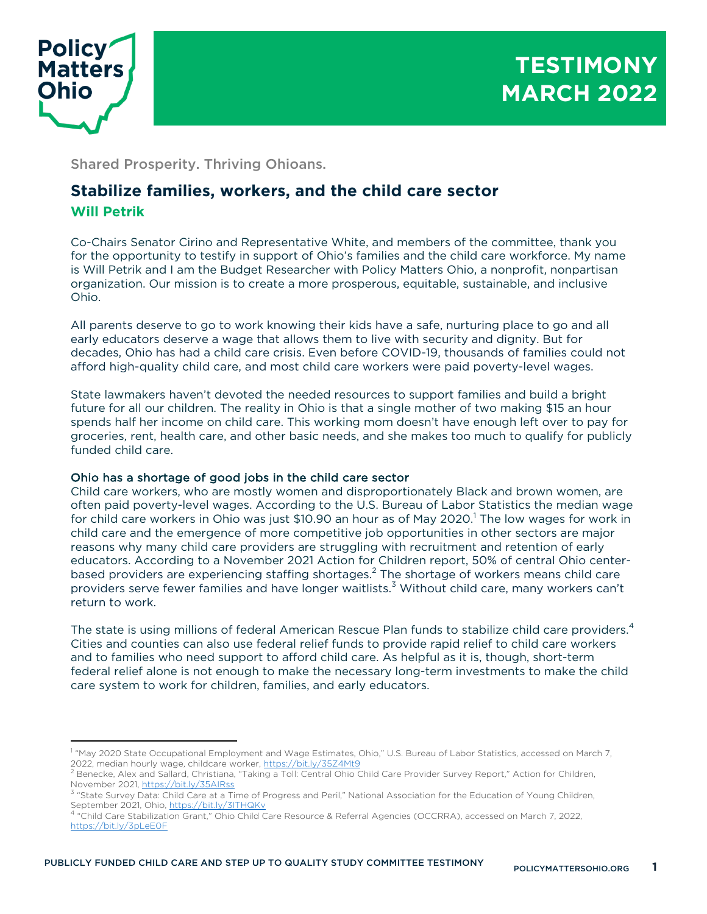

# **TESTIMONY MARCH 2022**

Shared Prosperity. Thriving Ohioans.

## **Stabilize families, workers, and the child care sector Will Petrik**

Co-Chairs Senator Cirino and Representative White, and members of the committee, thank you for the opportunity to testify in support of Ohio's families and the child care workforce. My name is Will Petrik and I am the Budget Researcher with Policy Matters Ohio, a nonprofit, nonpartisan organization. Our mission is to create a more prosperous, equitable, sustainable, and inclusive Ohio.

All parents deserve to go to work knowing their kids have a safe, nurturing place to go and all early educators deserve a wage that allows them to live with security and dignity. But for decades, Ohio has had a child care crisis. Even before COVID-19, thousands of families could not afford high-quality child care, and most child care workers were paid poverty-level wages.

State lawmakers haven't devoted the needed resources to support families and build a bright future for all our children. The reality in Ohio is that a single mother of two making \$15 an hour spends half her income on child care. This working mom doesn't have enough left over to pay for groceries, rent, health care, and other basic needs, and she makes too much to qualify for publicly funded child care.

### Ohio has a shortage of good jobs in the child care sector

Child care workers, who are mostly women and disproportionately Black and brown women, are often paid poverty-level wages. According to the U.S. Bureau of Labor Statistics the median wage for child care workers in Ohio was just \$10.90 an hour as of May 2020. <sup>1</sup> The low wages for work in child care and the emergence of more competitive job opportunities in other sectors are major reasons why many child care providers are struggling with recruitment and retention of early educators. According to a November 2021 Action for Children report, 50% of central Ohio centerbased providers are experiencing staffing shortages.<sup>2</sup> The shortage of workers means child care providers serve fewer families and have longer waitlists.<sup>3</sup> Without child care, many workers can't return to work.

The state is using millions of federal American Rescue Plan funds to stabilize child care providers.<sup>4</sup> Cities and counties can also use federal relief funds to provide rapid relief to child care workers and to families who need support to afford child care. As helpful as it is, though, short-term federal relief alone is not enough to make the necessary long-term investments to make the child care system to work for children, families, and early educators.

<sup>&</sup>lt;sup>1</sup> "May 2020 State Occupational Employment and Wage Estimates, Ohio," U.S. Bureau of Labor Statistics, accessed on March 7, 2022, median hourly wage, childcare worker, <u>https://bit.ly/35Z4Mt9</u><br><sup>2</sup> Benecke, Alex and Sallard, Christiana, "Taking a Toll: Central Ohio Child Care Provider Survey Report," Action for Children,

November 2021, https://bit.ly/35AIRss

<sup>&</sup>lt;sup>3</sup> "State Survey Data: Child Care at a Time of Progress and Peril," National Association for the Education of Young Children, September 2021, Ohio, https://bit.ly/3ITHQKv

<sup>4</sup> "Child Care Stabilization Grant," Ohio Child Care Resource & Referral Agencies (OCCRRA), accessed on March 7, 2022, https://bit.ly/3pLeE0F